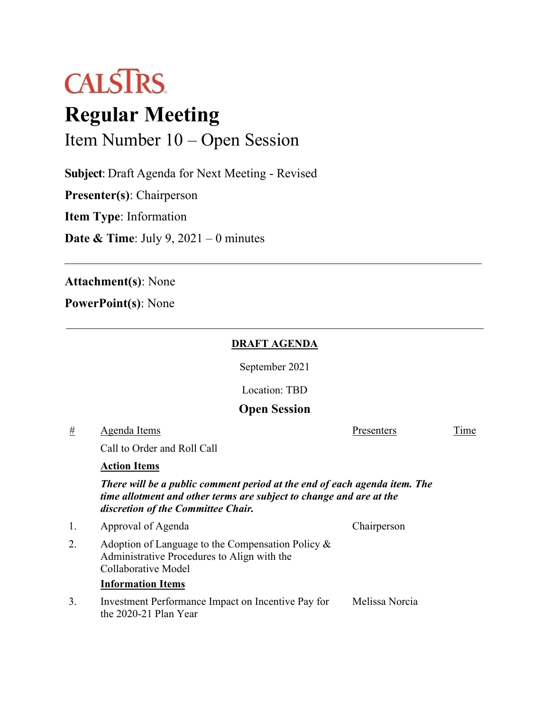

# **Regular Meeting**

Item Number 10 – Open Session

**Subject**: Draft Agenda for Next Meeting - Revised

**Presenter(s)**: Chairperson

**Item Type**: Information

**Date & Time**: July 9, 2021 – 0 minutes

**Attachment(s)**: None

**PowerPoint(s)**: None

### **DRAFT AGENDA**

September 2021

Location: TBD

# **Open Session**

 $#$  Agenda Items  $\frac{1}{2}$  Agenda Items

Call to Order and Roll Call

#### **Action Items**

*There will be a public comment period at the end of each agenda item. The time allotment and other terms are subject to change and are at the discretion of the Committee Chair.*

| 1. | Approval of Agenda                                                                                                         | Chairperson |
|----|----------------------------------------------------------------------------------------------------------------------------|-------------|
|    | Adoption of Language to the Compensation Policy $\&$<br>Administrative Procedures to Align with the<br>Collaborative Model |             |
|    | <b>Information Items</b>                                                                                                   |             |
|    |                                                                                                                            |             |

3. Investment Performance Impact on Incentive Pay for the 2020-21 Plan Year Melissa Norcia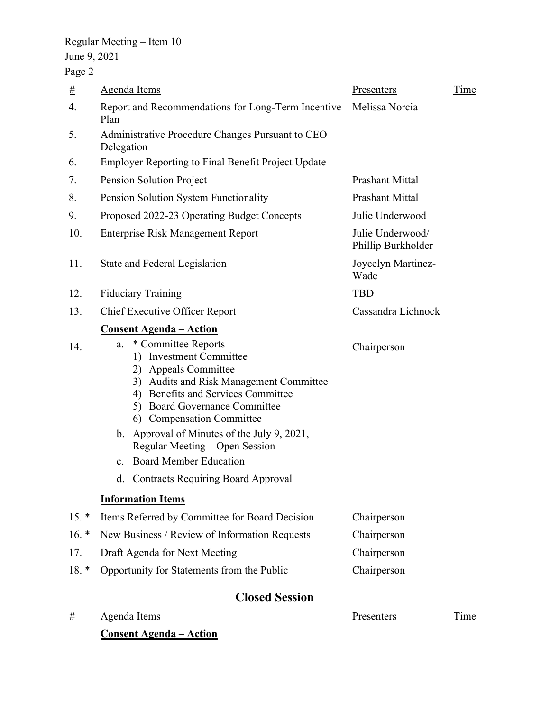# Regular Meeting – Item 10 June 9, 2021

Page 2

| #        | <b>Agenda Items</b>                                                                                                                                                                                                                                                                                                                                                                                                                              | Presenters                             | Time |
|----------|--------------------------------------------------------------------------------------------------------------------------------------------------------------------------------------------------------------------------------------------------------------------------------------------------------------------------------------------------------------------------------------------------------------------------------------------------|----------------------------------------|------|
| 4.       | Report and Recommendations for Long-Term Incentive<br>Plan                                                                                                                                                                                                                                                                                                                                                                                       | Melissa Norcia                         |      |
| 5.       | Administrative Procedure Changes Pursuant to CEO<br>Delegation                                                                                                                                                                                                                                                                                                                                                                                   |                                        |      |
| 6.       | <b>Employer Reporting to Final Benefit Project Update</b>                                                                                                                                                                                                                                                                                                                                                                                        |                                        |      |
| 7.       | Pension Solution Project                                                                                                                                                                                                                                                                                                                                                                                                                         | <b>Prashant Mittal</b>                 |      |
| 8.       | Pension Solution System Functionality                                                                                                                                                                                                                                                                                                                                                                                                            | <b>Prashant Mittal</b>                 |      |
| 9.       | Proposed 2022-23 Operating Budget Concepts                                                                                                                                                                                                                                                                                                                                                                                                       | Julie Underwood                        |      |
| 10.      | <b>Enterprise Risk Management Report</b>                                                                                                                                                                                                                                                                                                                                                                                                         | Julie Underwood/<br>Phillip Burkholder |      |
| 11.      | State and Federal Legislation                                                                                                                                                                                                                                                                                                                                                                                                                    | Joycelyn Martinez-<br>Wade             |      |
| 12.      | <b>Fiduciary Training</b>                                                                                                                                                                                                                                                                                                                                                                                                                        | <b>TBD</b>                             |      |
| 13.      | <b>Chief Executive Officer Report</b>                                                                                                                                                                                                                                                                                                                                                                                                            | Cassandra Lichnock                     |      |
| 14.      | <b>Consent Agenda - Action</b><br>* Committee Reports<br>a.<br>1) Investment Committee<br>2) Appeals Committee<br>3) Audits and Risk Management Committee<br>4) Benefits and Services Committee<br>5) Board Governance Committee<br>6) Compensation Committee<br>b. Approval of Minutes of the July 9, 2021,<br>Regular Meeting – Open Session<br>c. Board Member Education<br>d. Contracts Requiring Board Approval<br><b>Information Items</b> | Chairperson                            |      |
| $15. *$  | Items Referred by Committee for Board Decision                                                                                                                                                                                                                                                                                                                                                                                                   | Chairperson                            |      |
| $16. *$  | New Business / Review of Information Requests                                                                                                                                                                                                                                                                                                                                                                                                    | Chairperson                            |      |
| 17.      | Draft Agenda for Next Meeting                                                                                                                                                                                                                                                                                                                                                                                                                    | Chairperson                            |      |
| $18. *$  | Opportunity for Statements from the Public                                                                                                                                                                                                                                                                                                                                                                                                       | Chairperson                            |      |
|          | <b>Closed Session</b>                                                                                                                                                                                                                                                                                                                                                                                                                            |                                        |      |
| <u>#</u> | <b>Agenda Items</b>                                                                                                                                                                                                                                                                                                                                                                                                                              | <b>Presenters</b>                      | Time |
|          | <u> Consent Agenda – Action</u>                                                                                                                                                                                                                                                                                                                                                                                                                  |                                        |      |
|          |                                                                                                                                                                                                                                                                                                                                                                                                                                                  |                                        |      |